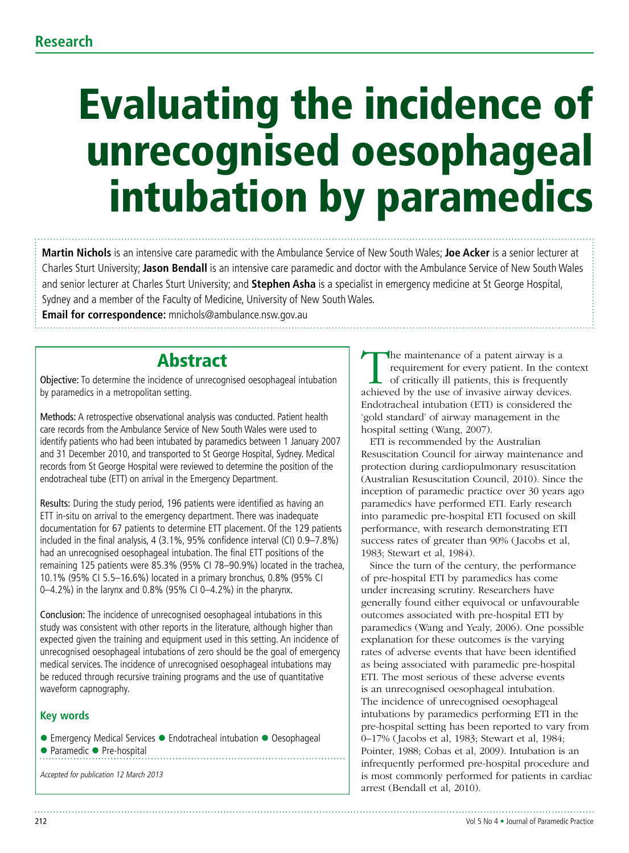# Evaluating the incidence of unrecognised oesophageal intubation by paramedics

**Martin Nichols** is an intensive care paramedic with the Ambulance Service of New South Wales; **Joe Acker** is a senior lecturer at Charles Sturt University; **Jason Bendall** is an intensive care paramedic and doctor with the Ambulance Service of New South Wales and senior lecturer at Charles Sturt University; and **Stephen Asha** is a specialist in emergency medicine at St George Hospital, Sydney and a member of the Faculty of Medicine, University of New South Wales.

**Email for correspondence:** mnichols@ambulance.nsw.gov.au

## Abstract

Objective: To determine the incidence of unrecognised oesophageal intubation by paramedics in a metropolitan setting.

Methods: A retrospective observational analysis was conducted. Patient health care records from the Ambulance Service of New South Wales were used to identify patients who had been intubated by paramedics between 1 January 2007 and 31 December 2010, and transported to St George Hospital, Sydney. Medical records from St George Hospital were reviewed to determine the position of the endotracheal tube (ETT) on arrival in the Emergency Department.

Results: During the study period, 196 patients were identified as having an ETT in-situ on arrival to the emergency department. There was inadequate documentation for 67 patients to determine ETT placement. Of the 129 patients included in the final analysis, 4 (3.1%, 95% confidence interval (CI) 0.9–7.8%) had an unrecognised oesophageal intubation. The final ETT positions of the remaining 125 patients were 85.3% (95% CI 78–90.9%) located in the trachea, 10.1% (95% CI 5.5–16.6%) located in a primary bronchus, 0.8% (95% CI 0–4.2%) in the larynx and 0.8% (95% CI 0–4.2%) in the pharynx.

Conclusion: The incidence of unrecognised oesophageal intubations in this study was consistent with other reports in the literature, although higher than expected given the training and equipment used in this setting. An incidence of unrecognised oesophageal intubations of zero should be the goal of emergency medical services. The incidence of unrecognised oesophageal intubations may be reduced through recursive training programs and the use of quantitative waveform capnography.

#### **Key words**

- Emergency Medical Services Endotracheal intubation Oesophageal • Paramedic • Pre-hospital
- 

Accepted for publication 12 March 2013

The maintenance of a patent airway is a<br>requirement for every patient. In the co<br>of critically ill patients, this is frequently<br>achieved by the use of invasive airway device requirement for every patient. In the context of critically ill patients, this is frequently achieved by the use of invasive airway devices. Endotracheal intubation (ETI) is considered the 'gold standard' of airway management in the hospital setting (Wang, 2007).

ETI is recommended by the Australian Resuscitation Council for airway maintenance and protection during cardiopulmonary resuscitation (Australian Resuscitation Council, 2010). Since the inception of paramedic practice over 30 years ago paramedics have performed ETI. Early research into paramedic pre-hospital ETI focused on skill performance, with research demonstrating ETI success rates of greater than 90% (Jacobs et al, 1983; Stewart et al, 1984).

Since the turn of the century, the performance of pre-hospital ETI by paramedics has come under increasing scrutiny. Researchers have generally found either equivocal or unfavourable outcomes associated with pre-hospital ETI by paramedics (Wang and Yealy, 2006). One possible explanation for these outcomes is the varying rates of adverse events that have been identified as being associated with paramedic pre-hospital ETI. The most serious of these adverse events is an unrecognised oesophageal intubation. The incidence of unrecognised oesophageal intubations by paramedics performing ETI in the pre-hospital setting has been reported to vary from 0–17% (Jacobs et al, 1983; Stewart et al, 1984; Pointer, 1988; Cobas et al, 2009). Intubation is an infrequently performed pre-hospital procedure and is most commonly performed for patients in cardiac arrest (Bendall et al, 2010).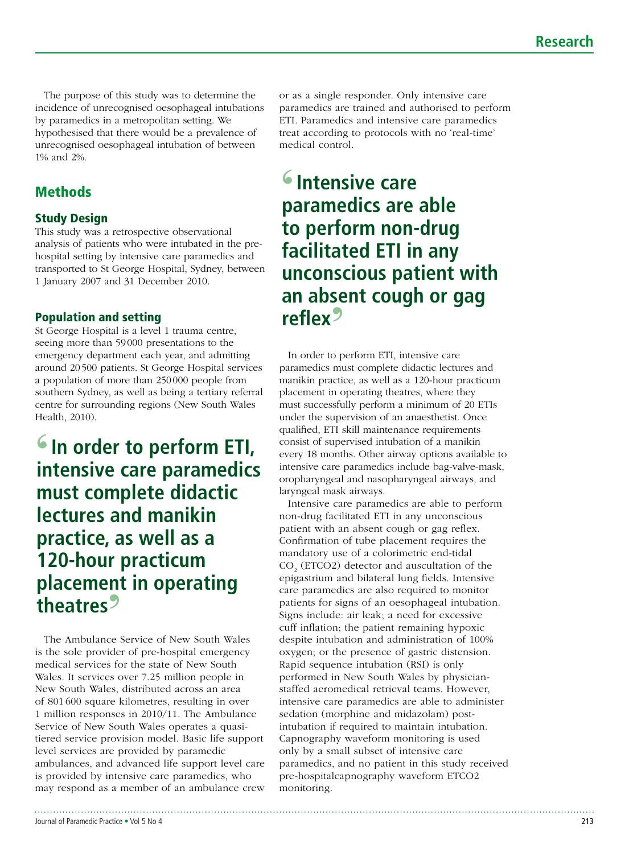The purpose of this study was to determine the incidence of unrecognised oesophageal intubations by paramedics in a metropolitan setting. We hypothesised that there would be a prevalence of unrecognised oesophageal intubation of between 1% and 2%.

#### **Methods**

#### Study Design

This study was a retrospective observational analysis of patients who were intubated in the prehospital setting by intensive care paramedics and transported to St George Hospital, Sydney, between 1 January 2007 and 31 December 2010.

#### Population and setting

St George Hospital is a level 1 trauma centre, seeing more than 59000 presentations to the emergency department each year, and admitting around 20500 patients. St George Hospital services a population of more than 250000 people from southern Sydney, as well as being a tertiary referral centre for surrounding regions (New South Wales Health, 2010).

## **In order to perform ETI, intensive care paramedics must complete didactic lectures and manikin practice, as well as a 120-hour practicum placement in operating theatres**  *' '*

The Ambulance Service of New South Wales is the sole provider of pre-hospital emergency medical services for the state of New South Wales. It services over 7.25 million people in New South Wales, distributed across an area of 801 600 square kilometres, resulting in over 1 million responses in 2010/11. The Ambulance Service of New South Wales operates a quasitiered service provision model. Basic life support level services are provided by paramedic ambulances, and advanced life support level care is provided by intensive care paramedics, who may respond as a member of an ambulance crew or as a single responder. Only intensive care paramedics are trained and authorised to perform ETI. Paramedics and intensive care paramedics treat according to protocols with no 'real-time' medical control.

# **Intensive care**  *<u>f</u>* Intensive care<br>paramedics are able **to perform non-drug facilitated ETI in any unconscious patient with an absent cough or gag reflex**

In order to perform ETI, intensive care paramedics must complete didactic lectures and manikin practice, as well as a 120-hour practicum placement in operating theatres, where they must successfully perform a minimum of 20 ETIs under the supervision of an anaesthetist. Once qualified, ETI skill maintenance requirements consist of supervised intubation of a manikin every 18 months. Other airway options available to intensive care paramedics include bag-valve-mask, oropharyngeal and nasopharyngeal airways, and laryngeal mask airways.

Intensive care paramedics are able to perform non-drug facilitated ETI in any unconscious patient with an absent cough or gag reflex. Confirmation of tube placement requires the mandatory use of a colorimetric end-tidal  $CO<sub>2</sub>$  (ETCO2) detector and auscultation of the epigastrium and bilateral lung fields. Intensive care paramedics are also required to monitor patients for signs of an oesophageal intubation. Signs include: air leak; a need for excessive cuff inflation; the patient remaining hypoxic despite intubation and administration of 100% oxygen; or the presence of gastric distension. Rapid sequence intubation (RSI) is only performed in New South Wales by physicianstaffed aeromedical retrieval teams. However, intensive care paramedics are able to administer sedation (morphine and midazolam) postintubation if required to maintain intubation. Capnography waveform monitoring is used only by a small subset of intensive care paramedics, and no patient in this study received pre-hospitalcapnography waveform ETCO2 monitoring.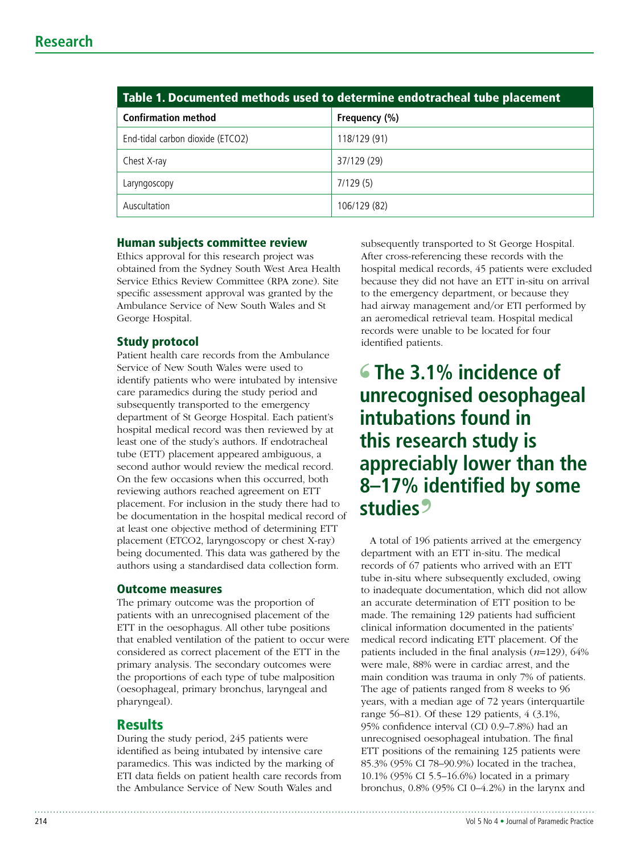### **Research**

| Table 1. Documented methods used to determine endotracheal tube placement |               |
|---------------------------------------------------------------------------|---------------|
| <b>Confirmation method</b>                                                | Frequency (%) |
| End-tidal carbon dioxide (ETCO2)                                          | 118/129 (91)  |
| Chest X-ray                                                               | 37/129 (29)   |
| Laryngoscopy                                                              | 7/129(5)      |
| Auscultation                                                              | 106/129 (82)  |

#### Human subjects committee review

Ethics approval for this research project was obtained from the Sydney South West Area Health Service Ethics Review Committee (RPA zone). Site specific assessment approval was granted by the Ambulance Service of New South Wales and St George Hospital.

#### Study protocol

Patient health care records from the Ambulance Service of New South Wales were used to identify patients who were intubated by intensive care paramedics during the study period and subsequently transported to the emergency department of St George Hospital. Each patient's hospital medical record was then reviewed by at least one of the study's authors. If endotracheal tube (ETT) placement appeared ambiguous, a second author would review the medical record. On the few occasions when this occurred, both reviewing authors reached agreement on ETT placement. For inclusion in the study there had to be documentation in the hospital medical record of at least one objective method of determining ETT placement (ETCO2, laryngoscopy or chest X-ray) being documented. This data was gathered by the authors using a standardised data collection form.

#### Outcome measures

The primary outcome was the proportion of patients with an unrecognised placement of the ETT in the oesophagus. All other tube positions that enabled ventilation of the patient to occur were considered as correct placement of the ETT in the primary analysis. The secondary outcomes were the proportions of each type of tube malposition (oesophageal, primary bronchus, laryngeal and pharyngeal).

#### **Results**

During the study period, 245 patients were identified as being intubated by intensive care paramedics. This was indicted by the marking of ETI data fields on patient health care records from the Ambulance Service of New South Wales and

subsequently transported to St George Hospital. After cross-referencing these records with the hospital medical records, 45 patients were excluded because they did not have an ETT in-situ on arrival to the emergency department, or because they had airway management and/or ETI performed by an aeromedical retrieval team. Hospital medical records were unable to be located for four identified patients.

# **The 3.1% incidence of 4 The 3.1% incidence of unrecognised oesophageal intubations found in this research study is appreciably lower than the 8-17% identified by some studies**  *'*

A total of 196 patients arrived at the emergency department with an ETT in-situ. The medical records of 67 patients who arrived with an ETT tube in-situ where subsequently excluded, owing to inadequate documentation, which did not allow an accurate determination of ETT position to be made. The remaining 129 patients had sufficient clinical information documented in the patients' medical record indicating ETT placement. Of the patients included in the final analysis  $(n=129)$ , 64% were male, 88% were in cardiac arrest, and the main condition was trauma in only 7% of patients. The age of patients ranged from 8 weeks to 96 years, with a median age of 72 years (interquartile range 56–81). Of these 129 patients, 4 (3.1%, 95% confidence interval (CI) 0.9-7.8%) had an unrecognised oesophageal intubation. The final ETT positions of the remaining 125 patients were 85.3% (95% CI 78–90.9%) located in the trachea, 10.1% (95% CI 5.5–16.6%) located in a primary bronchus, 0.8% (95% CI 0–4.2%) in the larynx and

214 Vol 5 No 4 • Journal of Paramedic Practice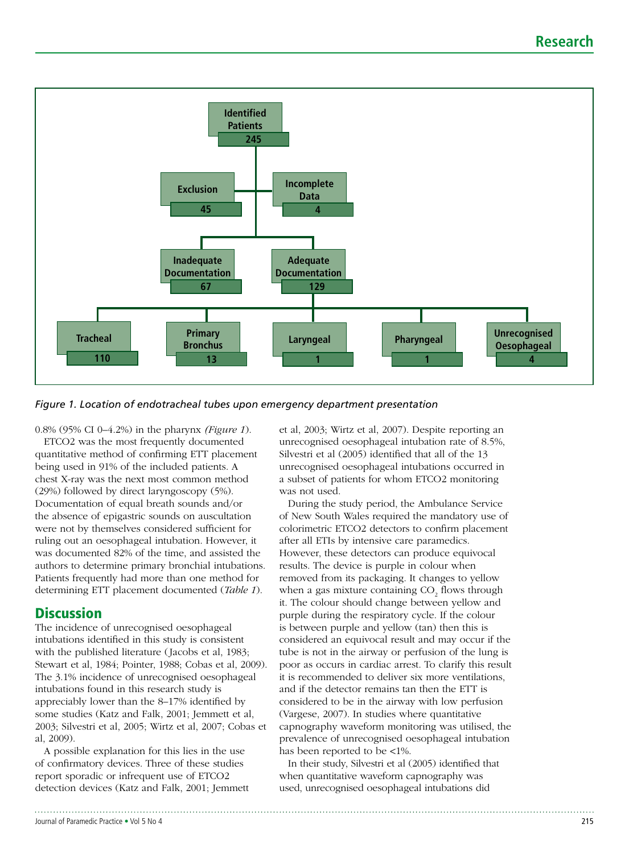

*Figure 1. Location of endotracheal tubes upon emergency department presentation*

0.8% (95% CI 0–4.2%) in the pharynx (Figure 1).

ETCO2 was the most frequently documented quantitative method of confirming ETT placement being used in 91% of the included patients. A chest X-ray was the next most common method (29%) followed by direct laryngoscopy (5%). Documentation of equal breath sounds and/or the absence of epigastric sounds on auscultation were not by themselves considered sufficient for ruling out an oesophageal intubation. However, it was documented 82% of the time, and assisted the authors to determine primary bronchial intubations. Patients frequently had more than one method for determining ETT placement documented (Table 1).

#### **Discussion**

The incidence of unrecognised oesophageal intubations identified in this study is consistent with the published literature (Jacobs et al, 1983; Stewart et al, 1984; Pointer, 1988; Cobas et al, 2009). The 3.1% incidence of unrecognised oesophageal intubations found in this research study is appreciably lower than the  $8-17%$  identified by some studies (Katz and Falk, 2001; Jemmett et al, 2003; Silvestri et al, 2005; Wirtz et al, 2007; Cobas et al, 2009).

A possible explanation for this lies in the use of confirmatory devices. Three of these studies report sporadic or infrequent use of ETCO2 detection devices (Katz and Falk, 2001; Jemmett et al, 2003; Wirtz et al, 2007). Despite reporting an unrecognised oesophageal intubation rate of 8.5%, Silvestri et al (2005) identified that all of the 13 unrecognised oesophageal intubations occurred in a subset of patients for whom ETCO2 monitoring was not used.

During the study period, the Ambulance Service of New South Wales required the mandatory use of colorimetric ETCO2 detectors to confirm placement after all ETIs by intensive care paramedics. However, these detectors can produce equivocal results. The device is purple in colour when removed from its packaging. It changes to yellow when a gas mixture containing  $CO<sub>2</sub>$  flows through it. The colour should change between yellow and purple during the respiratory cycle. If the colour is between purple and yellow (tan) then this is considered an equivocal result and may occur if the tube is not in the airway or perfusion of the lung is poor as occurs in cardiac arrest. To clarify this result it is recommended to deliver six more ventilations, and if the detector remains tan then the ETT is considered to be in the airway with low perfusion (Vargese, 2007). In studies where quantitative capnography waveform monitoring was utilised, the prevalence of unrecognised oesophageal intubation has been reported to be <1%.

In their study, Silvestri et al (2005) identified that when quantitative waveform capnography was used, unrecognised oesophageal intubations did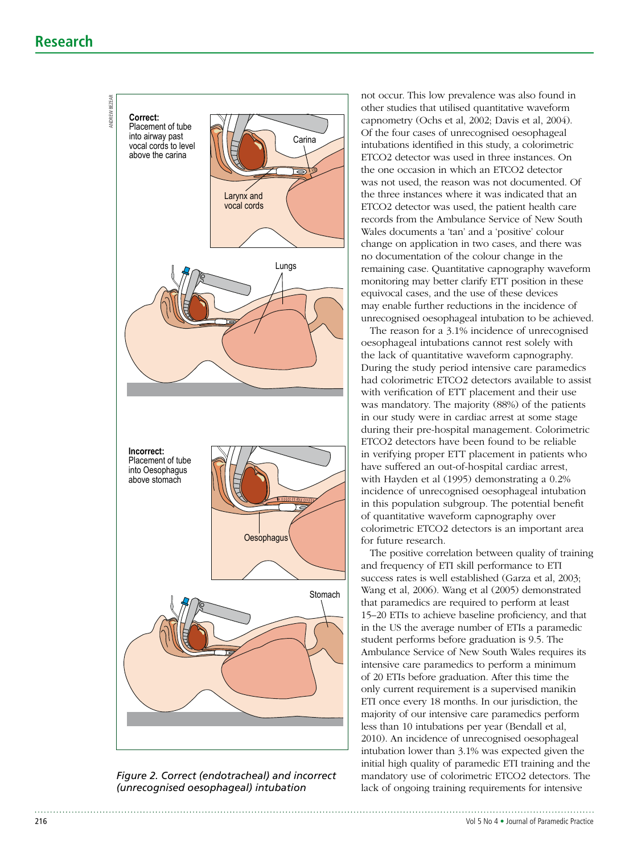

*Figure 2. Correct (endotracheal) and incorrect (unrecognised oesophageal) intubation*

not occur. This low prevalence was also found in other studies that utilised quantitative waveform capnometry (Ochs et al, 2002; Davis et al, 2004). Of the four cases of unrecognised oesophageal intubations identified in this study, a colorimetric ETCO2 detector was used in three instances. On the one occasion in which an ETCO2 detector was not used, the reason was not documented. Of the three instances where it was indicated that an ETCO2 detector was used, the patient health care records from the Ambulance Service of New South Wales documents a 'tan' and a 'positive' colour change on application in two cases, and there was no documentation of the colour change in the remaining case. Quantitative capnography waveform monitoring may better clarify ETT position in these equivocal cases, and the use of these devices may enable further reductions in the incidence of unrecognised oesophageal intubation to be achieved.

The reason for a 3.1% incidence of unrecognised oesophageal intubations cannot rest solely with the lack of quantitative waveform capnography. During the study period intensive care paramedics had colorimetric ETCO2 detectors available to assist with verification of ETT placement and their use was mandatory. The majority (88%) of the patients in our study were in cardiac arrest at some stage during their pre-hospital management. Colorimetric ETCO2 detectors have been found to be reliable in verifying proper ETT placement in patients who have suffered an out-of-hospital cardiac arrest, with Hayden et al (1995) demonstrating a 0.2% incidence of unrecognised oesophageal intubation in this population subgroup. The potential benefit of quantitative waveform capnography over colorimetric ETCO2 detectors is an important area for future research.

The positive correlation between quality of training and frequency of ETI skill performance to ETI success rates is well established (Garza et al, 2003; Wang et al, 2006). Wang et al (2005) demonstrated that paramedics are required to perform at least 15-20 ETIs to achieve baseline proficiency, and that in the US the average number of ETIs a paramedic student performs before graduation is 9.5. The Ambulance Service of New South Wales requires its intensive care paramedics to perform a minimum of 20 ETIs before graduation. After this time the only current requirement is a supervised manikin ETI once every 18 months. In our jurisdiction, the majority of our intensive care paramedics perform less than 10 intubations per year (Bendall et al, 2010). An incidence of unrecognised oesophageal intubation lower than 3.1% was expected given the initial high quality of paramedic ETI training and the mandatory use of colorimetric ETCO2 detectors. The lack of ongoing training requirements for intensive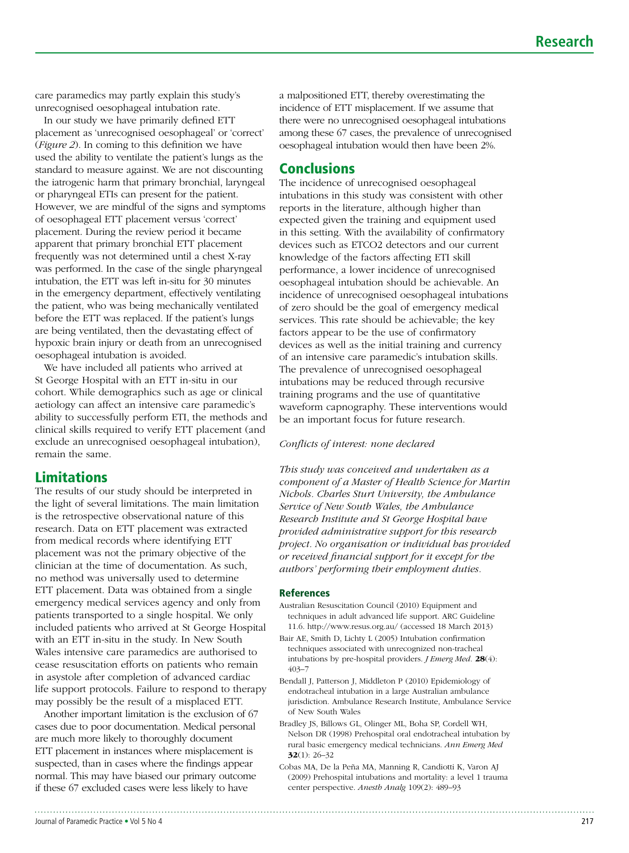care paramedics may partly explain this study's unrecognised oesophageal intubation rate.

In our study we have primarily defined ETT placement as 'unrecognised oesophageal' or 'correct' ( $Figure 2$ ). In coming to this definition we have used the ability to ventilate the patient's lungs as the standard to measure against. We are not discounting the iatrogenic harm that primary bronchial, laryngeal or pharyngeal ETIs can present for the patient. However, we are mindful of the signs and symptoms of oesophageal ETT placement versus 'correct' placement. During the review period it became apparent that primary bronchial ETT placement frequently was not determined until a chest X-ray was performed. In the case of the single pharyngeal intubation, the ETT was left in-situ for 30 minutes in the emergency department, effectively ventilating the patient, who was being mechanically ventilated before the ETT was replaced. If the patient's lungs are being ventilated, then the devastating effect of hypoxic brain injury or death from an unrecognised oesophageal intubation is avoided.

We have included all patients who arrived at St George Hospital with an ETT in-situ in our cohort. While demographics such as age or clinical aetiology can affect an intensive care paramedic's ability to successfully perform ETI, the methods and clinical skills required to verify ETT placement (and exclude an unrecognised oesophageal intubation), remain the same.

#### Limitations

The results of our study should be interpreted in the light of several limitations. The main limitation is the retrospective observational nature of this research. Data on ETT placement was extracted from medical records where identifying ETT placement was not the primary objective of the clinician at the time of documentation. As such, no method was universally used to determine ETT placement. Data was obtained from a single emergency medical services agency and only from patients transported to a single hospital. We only included patients who arrived at St George Hospital with an ETT in-situ in the study. In New South Wales intensive care paramedics are authorised to cease resuscitation efforts on patients who remain in asystole after completion of advanced cardiac life support protocols. Failure to respond to therapy may possibly be the result of a misplaced ETT.

Another important limitation is the exclusion of 67 cases due to poor documentation. Medical personal are much more likely to thoroughly document ETT placement in instances where misplacement is suspected, than in cases where the findings appear normal. This may have biased our primary outcome if these 67 excluded cases were less likely to have

a malpositioned ETT, thereby overestimating the incidence of ETT misplacement. If we assume that there were no unrecognised oesophageal intubations among these 67 cases, the prevalence of unrecognised oesophageal intubation would then have been 2%.

#### Conclusions

The incidence of unrecognised oesophageal intubations in this study was consistent with other reports in the literature, although higher than expected given the training and equipment used in this setting. With the availability of confirmatory devices such as ETCO2 detectors and our current knowledge of the factors affecting ETI skill performance, a lower incidence of unrecognised oesophageal intubation should be achievable. An incidence of unrecognised oesophageal intubations of zero should be the goal of emergency medical services. This rate should be achievable; the key factors appear to be the use of confirmatory devices as well as the initial training and currency of an intensive care paramedic's intubation skills. The prevalence of unrecognised oesophageal intubations may be reduced through recursive training programs and the use of quantitative waveform capnography. These interventions would be an important focus for future research.

Conflicts of interest: none declared

This study was conceived and undertaken as a component of a Master of Health Science for Martin Nichols. Charles Sturt University, the Ambulance Service of New South Wales, the Ambulance Research Institute and St George Hospital have provided administrative support for this research project. No organisation or individual has provided or received financial support for it except for the authors' performing their employment duties.

#### References

- Australian Resuscitation Council (2010) Equipment and techniques in adult advanced life support. ARC Guideline 11.6. http://www.resus.org.au/ (accessed 18 March 2013)
- Bair AE, Smith D, Lichty L (2005) Intubation confirmation techniques associated with unrecognized non-tracheal intubations by pre-hospital providers. *J Emerg Med.* **28**(4): 403–7
- Bendall J, Patterson J, Middleton P (2010) Epidemiology of endotracheal intubation in a large Australian ambulance jurisdiction. Ambulance Research Institute, Ambulance Service of New South Wales
- Bradley JS, Billows GL, Olinger ML, Boha SP, Cordell WH, Nelson DR (1998) Prehospital oral endotracheal intubation by rural basic emergency medical technicians. Ann Emerg Med  $32(1): 26 - 32$
- Cobas MA, De la Peña MA, Manning R, Candiotti K, Varon AJ (2009) Prehospital intubations and mortality: a level 1 trauma center perspective. Anesth Analg 109(2): 489–93